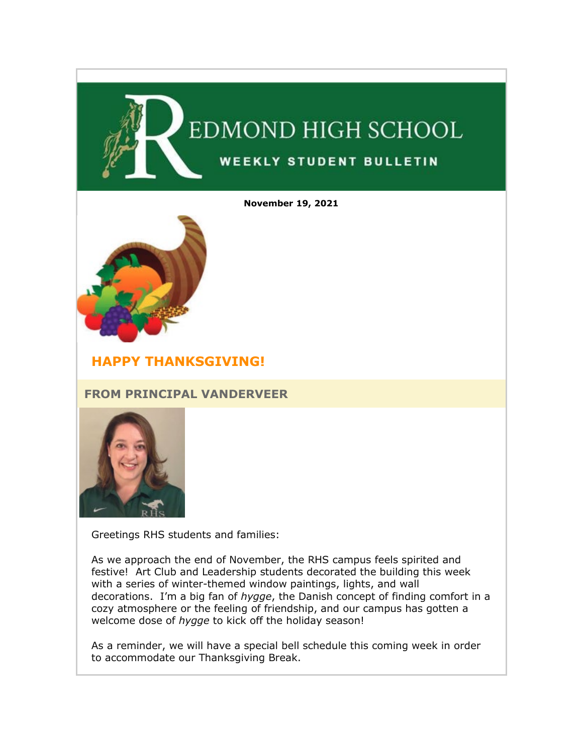

**November 19, 2021**



# **HAPPY THANKSGIVING!**

# **FROM PRINCIPAL VANDERVEER**



Greetings RHS students and families:

As we approach the end of November, the RHS campus feels spirited and festive! Art Club and Leadership students decorated the building this week with a series of winter-themed window paintings, lights, and wall decorations. I'm a big fan of *hygge*, the Danish concept of finding comfort in a cozy atmosphere or the feeling of friendship, and our campus has gotten a welcome dose of *hygge* to kick off the holiday season!

As a reminder, we will have a special bell schedule this coming week in order to accommodate our Thanksgiving Break.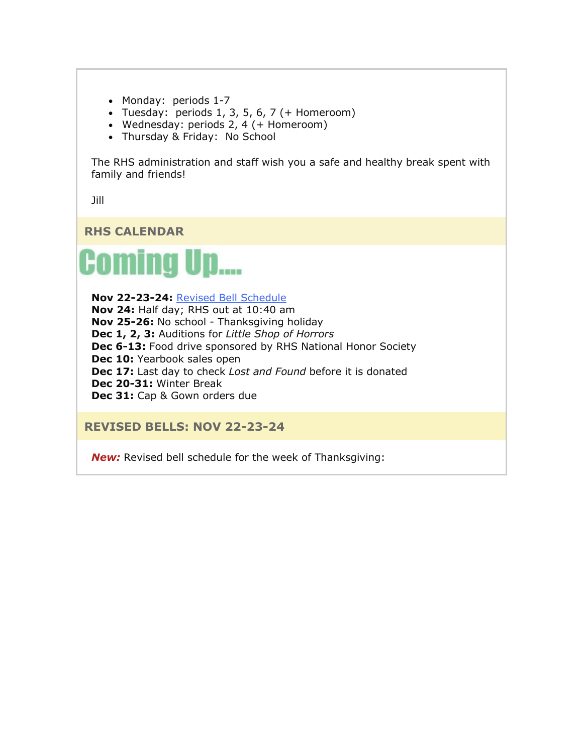- Monday: periods 1-7
- Tuesday: periods  $1, 3, 5, 6, 7$  (+ Homeroom)
- Wednesday: periods 2, 4 (+ Homeroom)
- Thursday & Friday: No School

The RHS administration and staff wish you a safe and healthy break spent with family and friends!

Jill

**RHS CALENDAR**



**Nov 22-23-24:** [Revised Bell Schedule](https://nam02.safelinks.protection.outlook.com/?url=http%3A%2F%2Flink.email.dynect.net%2Flink.php%3FDynEngagement%3Dtrue%26H%3DfaG4YsHB1kOcXrql%252FjAZAv8UiQ%252B6%252FUEFi8b26uvkPKGDNP9eP128sv04e4byGRIA0dWEU5Wk0ib3Da8yryH%252F0HcS1T8UOXhOK%252BzH1sTePnj7PAm7K9xqtA%253D%253D%26G%3D0%26R%3Dhttps%253A%252F%252FHBSYGYZTANA.hatchbuck.com%252FTrackLinkClick%253FID2%253D3_V3nW33dBX9csWdafIwzEivGSUsMeUZCqCW8WxHuhG3wupM9hvo2SoQetiPvKOA0%26I%3D20211119233501.0000000ea5c8%2540mail6-50-ussnn1%26X%3DMHwxMjY0OTIyOjIzNDM3MDk0NDY7MXwxMjY0OTIzOjE4NzUxNDM5OTs%253D%26V%3D3%26S%3DOTdgq5It4t4BX3yDvhhVIa0-TMihgqF2t1pPabXB3iQ&data=04%7C01%7Cmwood%40lwsd.org%7C458e30b5f95c47f0c6a008d9abb53747%7C1fd4673fdf9646218638a1d88c4c85d7%7C0%7C0%7C637729617078736126%7CUnknown%7CTWFpbGZsb3d8eyJWIjoiMC4wLjAwMDAiLCJQIjoiV2luMzIiLCJBTiI6Ik1haWwiLCJXVCI6Mn0%3D%7C3000&sdata=kyEUrv6%2BluiR0kW74YQ4A7c2tlfoCRqlcpHRUfIIEAQ%3D&reserved=0) **Nov 24:** Half day; RHS out at 10:40 am **Nov 25-26:** No school - Thanksgiving holiday **Dec 1, 2, 3:** Auditions for *Little Shop of Horrors* **Dec 6-13:** Food drive sponsored by RHS National Honor Society **Dec 10: Yearbook sales open Dec 17:** Last day to check *Lost and Found* before it is donated **Dec 20-31:** Winter Break **Dec 31:** Cap & Gown orders due

**REVISED BELLS: NOV 22-23-24**

*New:* Revised bell schedule for the week of Thanksgiving: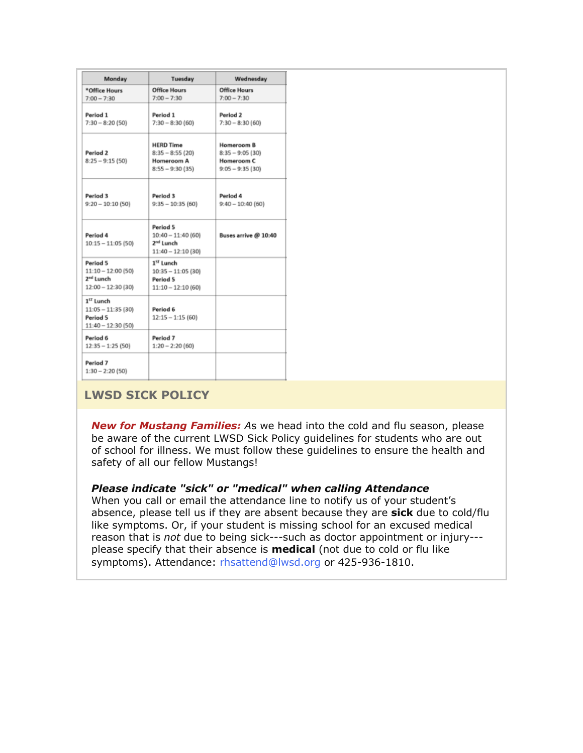| Monday                                                                           | Tuesday                                                                         | Wednesday                                                          |
|----------------------------------------------------------------------------------|---------------------------------------------------------------------------------|--------------------------------------------------------------------|
| *Office Hours                                                                    | <b>Office Hours</b>                                                             | <b>Office Hours</b>                                                |
| $7:00 - 7:30$                                                                    | $7:00 - 7:30$                                                                   | $7:00 - 7:30$                                                      |
| Period 1<br>$7:30 - 8:20(50)$                                                    | Period 1<br>$7:30 - 8:30(60)$                                                   | Period 2<br>$7:30 - 8:30(60)$                                      |
| Period 2<br>$8:25 - 9:15(50)$                                                    | <b>HERD Time</b><br>$8:35 - 8:55(20)$<br>Homeroom A<br>$8:55 - 9:30(35)$        | Homeroom B<br>$8:35 - 9:05(30)$<br>Homeroom C<br>$9:05 - 9:35(30)$ |
| Period 3<br>$9:20 - 10:10(50)$                                                   | Period 3<br>$9:35 - 10:35(60)$                                                  | Period 4<br>$9:40 - 10:40(60)$                                     |
| Period 4<br>$10:15 - 11:05$ (50)                                                 | Period 5<br>$10:40 - 11:40(60)$<br>2 <sup>nd</sup> Lunch<br>$11:40 - 12:10(30)$ | Buses arrive @ 10:40                                               |
| Period 5<br>$11:10 - 12:00$ (50)<br>2 <sup>nd</sup> Lunch<br>$12:00 - 12:30(30)$ | 1 <sup>ST</sup> Lunch<br>$10:35 - 11:05(30)$<br>Period 5<br>$11:10 - 12:10(60)$ |                                                                    |
| 1 <sup>57</sup> Lunch<br>$11:05 - 11:35$ (30)<br>Period 5<br>11:40 - 12:30 (50)  | Period 6<br>$12:15 - 1:15(60)$                                                  |                                                                    |
| Period 6<br>$12:35 - 1:25(50)$                                                   | Period 7<br>$1:20 - 2:20(60)$                                                   |                                                                    |
| Period 7<br>$1:30 - 2:20(50)$                                                    |                                                                                 |                                                                    |

# **LWSD SICK POLICY**

*New for Mustang Families: A*s we head into the cold and flu season, please be aware of the current LWSD Sick Policy guidelines for students who are out of school for illness. We must follow these guidelines to ensure the health and safety of all our fellow Mustangs!

# *Please indicate "sick" or "medical" when calling Attendance*

When you call or email the attendance line to notify us of your student's absence, please tell us if they are absent because they are **sick** due to cold/flu like symptoms. Or, if your student is missing school for an excused medical reason that is *not* due to being sick---such as doctor appointment or injury-- please specify that their absence is **medical** (not due to cold or flu like symptoms). Attendance: [rhsattend@lwsd.org](mailto:rhsattend@lwsd.org) or 425-936-1810.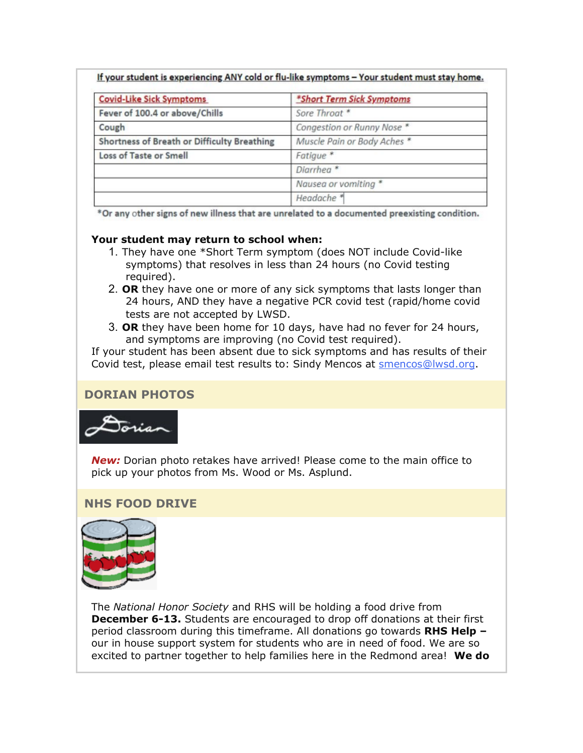|  | If your student is experiencing ANY cold or flu-like symptoms - Your student must stay home. |  |
|--|----------------------------------------------------------------------------------------------|--|
|--|----------------------------------------------------------------------------------------------|--|

| <b>Covid-Like Sick Symptoms</b>             | *Short Term Sick Symptoms   |
|---------------------------------------------|-----------------------------|
| Fever of 100.4 or above/Chills              | Sore Throat *               |
| Cough                                       | Congestion or Runny Nose *  |
| Shortness of Breath or Difficulty Breathing | Muscle Pain or Body Aches * |
| Loss of Taste or Smell                      | Fatigue <sup>*</sup>        |
|                                             | Diarrhea <sup>*</sup>       |
|                                             | Nausea or vomiting *        |
|                                             | Headache <sup>*</sup>       |

\*Or any other signs of new illness that are unrelated to a documented preexisting condition.

#### **Your student may return to school when:**

- 1. They have one \*Short Term symptom (does NOT include Covid-like symptoms) that resolves in less than 24 hours (no Covid testing required).
- 2. **OR** they have one or more of any sick symptoms that lasts longer than 24 hours, AND they have a negative PCR covid test (rapid/home covid tests are not accepted by LWSD.
- 3. **OR** they have been home for 10 days, have had no fever for 24 hours, and symptoms are improving (no Covid test required).

If your student has been absent due to sick symptoms and has results of their Covid test, please email test results to: Sindy Mencos at [smencos@lwsd.org.](mailto:smencos@lwsd.org)

# **DORIAN PHOTOS**



*New:* Dorian photo retakes have arrived! Please come to the main office to pick up your photos from Ms. Wood or Ms. Asplund.

# **NHS FOOD DRIVE**



The *National Honor Society* and RHS will be holding a food drive from **December 6-13.** Students are encouraged to drop off donations at their first period classroom during this timeframe. All donations go towards **RHS Help –** our in house support system for students who are in need of food. We are so excited to partner together to help families here in the Redmond area! **We do**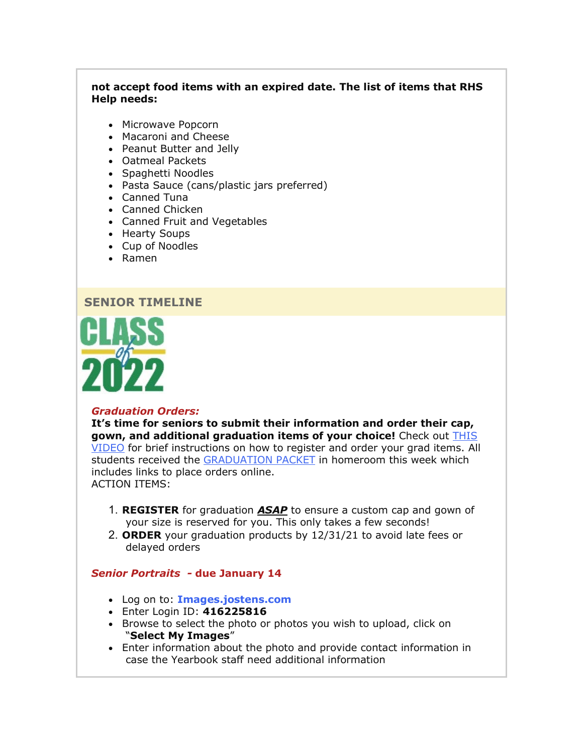#### **not accept food items with an expired date. The list of items that RHS Help needs:**

- Microwave Popcorn
- Macaroni and Cheese
- Peanut Butter and Jelly
- Oatmeal Packets
- Spaghetti Noodles
- Pasta Sauce (cans/plastic jars preferred)
- Canned Tuna
- Canned Chicken
- Canned Fruit and Vegetables
- Hearty Soups
- Cup of Noodles
- Ramen

#### **SENIOR TIMELINE**



#### *Graduation Orders:*

**It's time for seniors to submit their information and order their cap, gown, and additional graduation items of your choice!** Check out [THIS](https://nam02.safelinks.protection.outlook.com/?url=http%3A%2F%2Flink.email.dynect.net%2Flink.php%3FDynEngagement%3Dtrue%26H%3DfaG4YsHB1kOcXrql%252FjAZAv8UiQ%252B6%252FUEFi8b26uvkPKGDNP9eP128sv04e4byGRIA0dWEU5Wk0ib3Da8yryH%252F0HcS1T8UOXhOK%252BzH1sTePnj7PAm7K9xqtA%253D%253D%26G%3D0%26R%3Dhttps%253A%252F%252FHBSYGYZTANA.hatchbuck.com%252FTrackLinkClick%253FID2%253DwhKuu3vdDaQG7ehXTCu_nuBUXxRm_xKFJbrd-05v8yQJcQQVqr2qXET4U01Rvtm40%26I%3D20211119233501.0000000ea5c8%2540mail6-50-ussnn1%26X%3DMHwxMjY0OTIyOjIzNDM3MDk0NDY7MXwxMjY0OTIzOjE4NzUxNDM5OTs%253D%26V%3D3%26S%3DalrgHf6q3J8bS0hnseeUz42aqPMs6VQmrnm7G_hsh2g&data=04%7C01%7Cmwood%40lwsd.org%7C458e30b5f95c47f0c6a008d9abb53747%7C1fd4673fdf9646218638a1d88c4c85d7%7C0%7C0%7C637729617078746120%7CUnknown%7CTWFpbGZsb3d8eyJWIjoiMC4wLjAwMDAiLCJQIjoiV2luMzIiLCJBTiI6Ik1haWwiLCJXVCI6Mn0%3D%7C3000&sdata=qO%2Bt2K0DchVEhhRG9oyHDyNneXM%2Bck%2BakOf%2F%2B7ExW7E%3D&reserved=0)  [VIDEO](https://nam02.safelinks.protection.outlook.com/?url=http%3A%2F%2Flink.email.dynect.net%2Flink.php%3FDynEngagement%3Dtrue%26H%3DfaG4YsHB1kOcXrql%252FjAZAv8UiQ%252B6%252FUEFi8b26uvkPKGDNP9eP128sv04e4byGRIA0dWEU5Wk0ib3Da8yryH%252F0HcS1T8UOXhOK%252BzH1sTePnj7PAm7K9xqtA%253D%253D%26G%3D0%26R%3Dhttps%253A%252F%252FHBSYGYZTANA.hatchbuck.com%252FTrackLinkClick%253FID2%253DwhKuu3vdDaQG7ehXTCu_nuBUXxRm_xKFJbrd-05v8yQJcQQVqr2qXET4U01Rvtm40%26I%3D20211119233501.0000000ea5c8%2540mail6-50-ussnn1%26X%3DMHwxMjY0OTIyOjIzNDM3MDk0NDY7MXwxMjY0OTIzOjE4NzUxNDM5OTs%253D%26V%3D3%26S%3DalrgHf6q3J8bS0hnseeUz42aqPMs6VQmrnm7G_hsh2g&data=04%7C01%7Cmwood%40lwsd.org%7C458e30b5f95c47f0c6a008d9abb53747%7C1fd4673fdf9646218638a1d88c4c85d7%7C0%7C0%7C637729617078746120%7CUnknown%7CTWFpbGZsb3d8eyJWIjoiMC4wLjAwMDAiLCJQIjoiV2luMzIiLCJBTiI6Ik1haWwiLCJXVCI6Mn0%3D%7C3000&sdata=qO%2Bt2K0DchVEhhRG9oyHDyNneXM%2Bck%2BakOf%2F%2B7ExW7E%3D&reserved=0) for brief instructions on how to register and order your grad items. All students received the [GRADUATION PACKET](https://nam02.safelinks.protection.outlook.com/?url=http%3A%2F%2Flink.email.dynect.net%2Flink.php%3FDynEngagement%3Dtrue%26H%3DfaG4YsHB1kOcXrql%252FjAZAv8UiQ%252B6%252FUEFi8b26uvkPKGDNP9eP128sv04e4byGRIA0dWEU5Wk0ib3Da8yryH%252F0HcS1T8UOXhOK%252BzH1sTePnj7PAm7K9xqtA%253D%253D%26G%3D0%26R%3Dhttps%253A%252F%252FHBSYGYZTANA.hatchbuck.com%252FTrackLinkClick%253FID2%253DycJn80GYwpE4wiug6j_L24JcuAfuT7owkPNE8NKRkG7RIgZFxn8YDIdf-lCMEBAS0%26I%3D20211119233501.0000000ea5c8%2540mail6-50-ussnn1%26X%3DMHwxMjY0OTIyOjIzNDM3MDk0NDY7MXwxMjY0OTIzOjE4NzUxNDM5OTs%253D%26V%3D3%26S%3D59htQX-enlNn1q011fa-_7S5St6mTuvKBW0a4wMRZjo&data=04%7C01%7Cmwood%40lwsd.org%7C458e30b5f95c47f0c6a008d9abb53747%7C1fd4673fdf9646218638a1d88c4c85d7%7C0%7C0%7C637729617078756114%7CUnknown%7CTWFpbGZsb3d8eyJWIjoiMC4wLjAwMDAiLCJQIjoiV2luMzIiLCJBTiI6Ik1haWwiLCJXVCI6Mn0%3D%7C3000&sdata=k41%2FqsOk9rKH0XMc5BlXx%2BgN7OuPfaIqxMGUgUdxAa4%3D&reserved=0) in homeroom this week which includes links to place orders online. ACTION ITEMS:

- 1. **REGISTER** for graduation *ASAP* to ensure a custom cap and gown of your size is reserved for you. This only takes a few seconds!
- 2. **ORDER** your graduation products by 12/31/21 to avoid late fees or delayed orders

#### *Senior Portraits -* **due January 14**

- Log on to: **[Images.jostens.com](https://nam02.safelinks.protection.outlook.com/?url=http%3A%2F%2Flink.email.dynect.net%2Flink.php%3FDynEngagement%3Dtrue%26H%3DfaG4YsHB1kOcXrql%252FjAZAv8UiQ%252B6%252FUEFi8b26uvkPKGDNP9eP128sv04e4byGRIA0dWEU5Wk0ib3Da8yryH%252F0HcS1T8UOXhOK%252BzH1sTePnj7PAm7K9xqtA%253D%253D%26G%3D0%26R%3Dhttps%253A%252F%252FHBSYGYZTANA.hatchbuck.com%252FTrackLinkClick%253FID2%253DShSoZeBM0Ta0-ouZevM4l7uuT68EnbYLSYGy3sHHeZ8PcJ7nE9I2TcEvHfIW3pVF0%26I%3D20211119233501.0000000ea5c8%2540mail6-50-ussnn1%26X%3DMHwxMjY0OTIyOjIzNDM3MDk0NDY7MXwxMjY0OTIzOjE4NzUxNDM5OTs%253D%26V%3D3%26S%3DhfCu6JKu6ZAZeIK9UXx_tddkBJNwLaaBj89eElew4dE&data=04%7C01%7Cmwood%40lwsd.org%7C458e30b5f95c47f0c6a008d9abb53747%7C1fd4673fdf9646218638a1d88c4c85d7%7C0%7C0%7C637729617078766109%7CUnknown%7CTWFpbGZsb3d8eyJWIjoiMC4wLjAwMDAiLCJQIjoiV2luMzIiLCJBTiI6Ik1haWwiLCJXVCI6Mn0%3D%7C3000&sdata=T1BERV4%2BEy4Rx9qLJJyiIUbV9sI314qSYQXTvTBR6IU%3D&reserved=0)**
- Enter Login ID: **416225816**
- Browse to select the photo or photos you wish to upload, click on "**Select My Images**"
- Enter information about the photo and provide contact information in case the Yearbook staff need additional information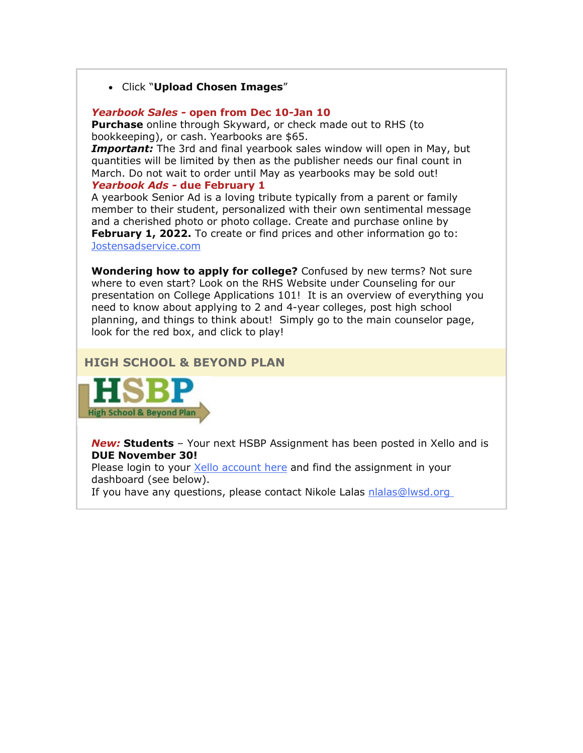#### • Click "**Upload Chosen Images**"

#### *Yearbook Sales -* **open from Dec 10-Jan 10**

**Purchase** online through Skyward, or check made out to RHS (to bookkeeping), or cash. Yearbooks are \$65.

*Important:* The 3rd and final yearbook sales window will open in May, but quantities will be limited by then as the publisher needs our final count in March. Do not wait to order until May as yearbooks may be sold out! *Yearbook Ads -* **due February 1**

A yearbook Senior Ad is a loving tribute typically from a parent or family member to their student, personalized with their own sentimental message and a cherished photo or photo collage. Create and purchase online by **February 1, 2022.** To create or find prices and other information go to: [Jostensadservice.com](https://nam02.safelinks.protection.outlook.com/?url=http%3A%2F%2Flink.email.dynect.net%2Flink.php%3FDynEngagement%3Dtrue%26H%3DfaG4YsHB1kOcXrql%252FjAZAv8UiQ%252B6%252FUEFi8b26uvkPKGDNP9eP128sv04e4byGRIA0dWEU5Wk0ib3Da8yryH%252F0HcS1T8UOXhOK%252BzH1sTePnj7PAm7K9xqtA%253D%253D%26G%3D0%26R%3Dhttps%253A%252F%252FHBSYGYZTANA.hatchbuck.com%252FTrackLinkClick%253FID2%253DRxw6TS6S2oskUj66iOkz8nS1fxGR1Hr6JDBERX6pZjlV4BmAQLnKmxIRe_tTYi-K0%26I%3D20211119233501.0000000ea5c8%2540mail6-50-ussnn1%26X%3DMHwxMjY0OTIyOjIzNDM3MDk0NDY7MXwxMjY0OTIzOjE4NzUxNDM5OTs%253D%26V%3D3%26S%3DkX2N9ylo_2ISwQuHZPoshae8M0LM7dFrab2DLAg1r4w&data=04%7C01%7Cmwood%40lwsd.org%7C458e30b5f95c47f0c6a008d9abb53747%7C1fd4673fdf9646218638a1d88c4c85d7%7C0%7C0%7C637729617078766109%7CUnknown%7CTWFpbGZsb3d8eyJWIjoiMC4wLjAwMDAiLCJQIjoiV2luMzIiLCJBTiI6Ik1haWwiLCJXVCI6Mn0%3D%7C3000&sdata=DmHY6z9GIPt1PnKIfKYeRcNBIfgJ4kb7gYNYLSlGxEg%3D&reserved=0)

**Wondering how to apply for college?** Confused by new terms? Not sure where to even start? Look on the RHS Website under Counseling for our presentation on College Applications 101! It is an overview of everything you need to know about applying to 2 and 4-year colleges, post high school planning, and things to think about! Simply go to the main counselor page, look for the red box, and click to play!

#### **HIGH SCHOOL & BEYOND PLAN**



*New:* **Students** – Your next HSBP Assignment has been posted in Xello and is **DUE November 30!**

Please login to your **Xello account here and find the assignment in your** dashboard (see below).

If you have any questions, please contact Nikole Lalas [nlalas@lwsd.org](mailto:nlalas@lwsd.org)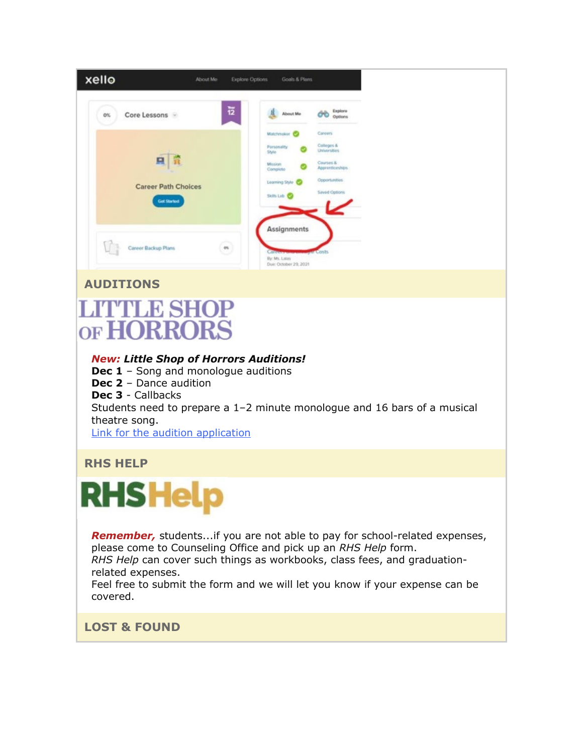| xello | About Me                                             | <b>Explore Options</b> | Goals & Plans                                                                                                  |                                                                                                                |
|-------|------------------------------------------------------|------------------------|----------------------------------------------------------------------------------------------------------------|----------------------------------------------------------------------------------------------------------------|
| 0%    | Core Lessons                                         | 豆                      | About Me                                                                                                       | Explore<br>ŐĎ<br>Options                                                                                       |
|       | 只<br>ほぼ<br><b>Career Path Choices</b><br>Get Started |                        | Matchesker <b>O</b><br>Personality<br>Style<br>Mission<br>Complete:<br>Learning Style C<br>Skits Lisb <b>C</b> | Caroors<br>Colleges &<br>Universities<br>Courses &<br>Apprenticeships<br>Opportunities<br><b>Saved Options</b> |
|       | Career Backup Plans                                  | $\alpha$               | Assignments<br><b>Callegaryon</b><br>By: Ms. Lalas<br>Due: October 29, 2021                                    | <b>Myrie</b> Costs.                                                                                            |

# **AUDITIONS**

# **LITTLE SHOP** OF HORRORS

# *New: Little Shop of Horrors Auditions!*

**Dec 1** – Song and monologue auditions **Dec 2** – Dance audition **Dec 3** - Callbacks Students need to prepare a 1–2 minute monologue and 16 bars of a musical theatre song. Link [for the audition application](https://nam02.safelinks.protection.outlook.com/?url=http%3A%2F%2Flink.email.dynect.net%2Flink.php%3FDynEngagement%3Dtrue%26H%3DfaG4YsHB1kOcXrql%252FjAZAv8UiQ%252B6%252FUEFi8b26uvkPKGDNP9eP128sv04e4byGRIA0dWEU5Wk0ib3Da8yryH%252F0HcS1T8UOXhOK%252BzH1sTePnj7PAm7K9xqtA%253D%253D%26G%3D0%26R%3Dhttps%253A%252F%252FHBSYGYZTANA.hatchbuck.com%252FTrackLinkClick%253FID2%253DtM1fCLx6pVz7SjfnFDfFr8MXpixom22WgOc6t1CsT52VIhiklrRf5rW2JM-znvor0%26I%3D20211119233501.0000000ea5c8%2540mail6-50-ussnn1%26X%3DMHwxMjY0OTIyOjIzNDM3MDk0NDY7MXwxMjY0OTIzOjE4NzUxNDM5OTs%253D%26V%3D3%26S%3DymhSdWtOPXjbi3zVfCR7WDk0LqSlyo7cNG1fuxeUxmQ&data=04%7C01%7Cmwood%40lwsd.org%7C458e30b5f95c47f0c6a008d9abb53747%7C1fd4673fdf9646218638a1d88c4c85d7%7C0%7C0%7C637729617078786099%7CUnknown%7CTWFpbGZsb3d8eyJWIjoiMC4wLjAwMDAiLCJQIjoiV2luMzIiLCJBTiI6Ik1haWwiLCJXVCI6Mn0%3D%7C3000&sdata=s6%2BbEPh20ugFFwXkV6DC%2BYX%2FmRmgdXhxJNmEsh3KKfE%3D&reserved=0)

# **RHS HELP**

# **RHS Help**

*Remember,* students...if you are not able to pay for school-related expenses, please come to Counseling Office and pick up an *RHS Help* form.

*RHS Help* can cover such things as workbooks, class fees, and graduationrelated expenses.

Feel free to submit the form and we will let you know if your expense can be covered.

# **LOST & FOUND**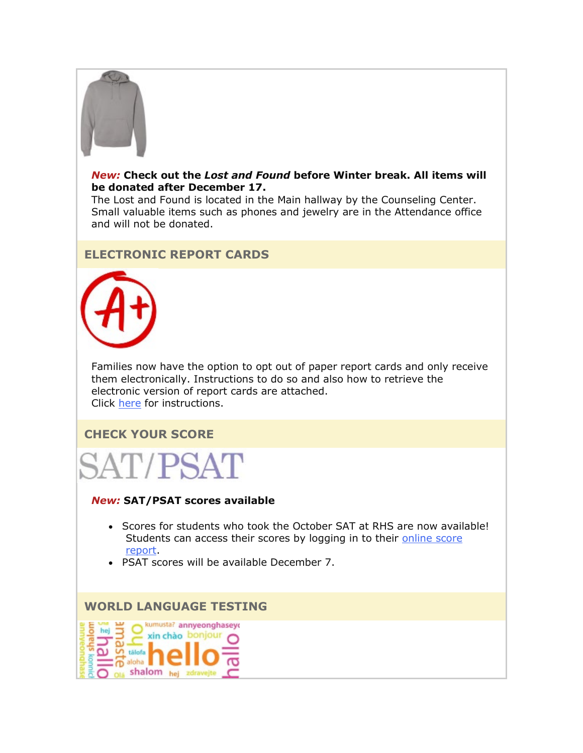

#### *New:* **Check out the** *Lost and Found* **before Winter break. All items will be donated after December 17.**

The Lost and Found is located in the Main hallway by the Counseling Center. Small valuable items such as phones and jewelry are in the Attendance office and will not be donated.

# **ELECTRONIC REPORT CARDS**



Families now have the option to opt out of paper report cards and only receive them electronically. Instructions to do so and also how to retrieve the electronic version of report cards are attached. Click [here](https://nam02.safelinks.protection.outlook.com/?url=http%3A%2F%2Flink.email.dynect.net%2Flink.php%3FDynEngagement%3Dtrue%26H%3DfaG4YsHB1kOcXrql%252FjAZAv8UiQ%252B6%252FUEFi8b26uvkPKGDNP9eP128sv04e4byGRIA0dWEU5Wk0ib3Da8yryH%252F0HcS1T8UOXhOK%252BzH1sTePnj7PAm7K9xqtA%253D%253D%26G%3D0%26R%3Dhttps%253A%252F%252FHBSYGYZTANA.hatchbuck.com%252FTrackLinkClick%253FID2%253DI3nR9bYXp_tGYYnDnSG7GWhqixN2_EQBPTewRLRmo1IaerKzwz_F7YFV3YZmli8i0%26I%3D20211119233501.0000000ea5c8%2540mail6-50-ussnn1%26X%3DMHwxMjY0OTIyOjIzNDM3MDk0NDY7MXwxMjY0OTIzOjE4NzUxNDM5OTs%253D%26V%3D3%26S%3DW-IZ2Do-ofsEz-ByMRY0WpdGnRK4J1bqf9Su0YpSJDA&data=04%7C01%7Cmwood%40lwsd.org%7C458e30b5f95c47f0c6a008d9abb53747%7C1fd4673fdf9646218638a1d88c4c85d7%7C0%7C0%7C637729617078786099%7CUnknown%7CTWFpbGZsb3d8eyJWIjoiMC4wLjAwMDAiLCJQIjoiV2luMzIiLCJBTiI6Ik1haWwiLCJXVCI6Mn0%3D%7C3000&sdata=xLASw%2Bza0z9VCJ%2F2r5TjSHtk38yjFU2FazTsS9Hg0uA%3D&reserved=0) for instructions.

# **CHECK YOUR SCORE**



#### *New:* **SAT/PSAT scores available**

- Scores for students who took the October SAT at RHS are now available! Students can access their scores by logging in to their online score [report.](https://nam02.safelinks.protection.outlook.com/?url=http%3A%2F%2Flink.email.dynect.net%2Flink.php%3FDynEngagement%3Dtrue%26H%3DfaG4YsHB1kOcXrql%252FjAZAv8UiQ%252B6%252FUEFi8b26uvkPKGDNP9eP128sv04e4byGRIA0dWEU5Wk0ib3Da8yryH%252F0HcS1T8UOXhOK%252BzH1sTePnj7PAm7K9xqtA%253D%253D%26G%3D0%26R%3Dhttps%253A%252F%252FHBSYGYZTANA.hatchbuck.com%252FTrackLinkClick%253FID2%253DB3Juw-pjuqDFSgOlUNEwTO44wsuwk6EFQACHxpWzIjo0KCh7jGViOKa5PWuDvf1v0%26I%3D20211119233501.0000000ea5c8%2540mail6-50-ussnn1%26X%3DMHwxMjY0OTIyOjIzNDM3MDk0NDY7MXwxMjY0OTIzOjE4NzUxNDM5OTs%253D%26V%3D3%26S%3DD01F46mdB2_c1pLmo-xnObmNvzQbcpDn9VjVK5pVXrE&data=04%7C01%7Cmwood%40lwsd.org%7C458e30b5f95c47f0c6a008d9abb53747%7C1fd4673fdf9646218638a1d88c4c85d7%7C0%7C0%7C637729617078796090%7CUnknown%7CTWFpbGZsb3d8eyJWIjoiMC4wLjAwMDAiLCJQIjoiV2luMzIiLCJBTiI6Ik1haWwiLCJXVCI6Mn0%3D%7C3000&sdata=KSWFjkfI7zBwxKqPE3hOlt%2Bt2F5%2BOF0p1lAWVc5XVeU%3D&reserved=0)
- PSAT scores will be available December 7.

#### **WORLD LANGUAGE TESTING**

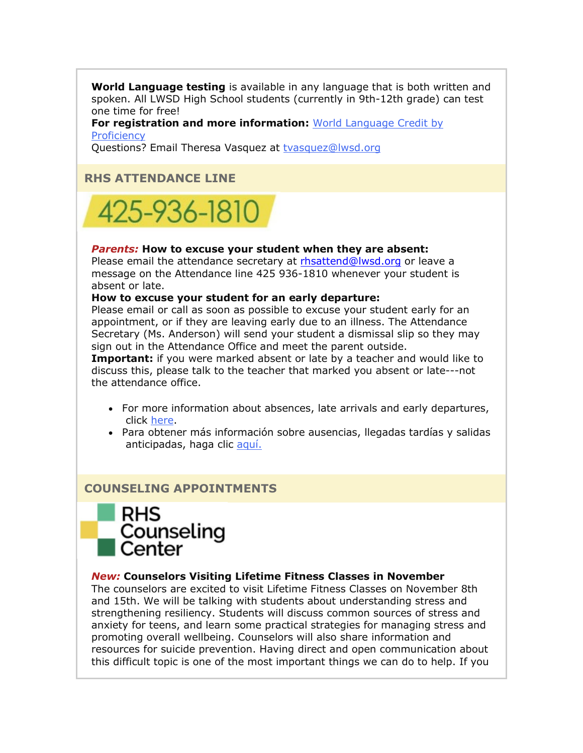**World Language testing** is available in any language that is both written and spoken. All LWSD High School students (currently in 9th-12th grade) can test one time for free!

**For registration and more information:** [World Language Credit by](https://nam02.safelinks.protection.outlook.com/?url=http%3A%2F%2Flink.email.dynect.net%2Flink.php%3FDynEngagement%3Dtrue%26H%3DfaG4YsHB1kOcXrql%252FjAZAv8UiQ%252B6%252FUEFi8b26uvkPKGDNP9eP128sv04e4byGRIA0dWEU5Wk0ib3Da8yryH%252F0HcS1T8UOXhOK%252BzH1sTePnj7PAm7K9xqtA%253D%253D%26G%3D0%26R%3Dhttps%253A%252F%252FHBSYGYZTANA.hatchbuck.com%252FTrackLinkClick%253FID2%253D87tNmLNKkglKzHot3nx5UAliaClVoQPZ2lOlGasd0Yl2URrI2TF_Jt8AUPN5Zxcm0%26I%3D20211119233501.0000000ea5c8%2540mail6-50-ussnn1%26X%3DMHwxMjY0OTIyOjIzNDM3MDk0NDY7MXwxMjY0OTIzOjE4NzUxNDM5OTs%253D%26V%3D3%26S%3D2LJfAj5kTwB3YMAkcahsj_h7nOlNMLH75p5tT5Q0b1s&data=04%7C01%7Cmwood%40lwsd.org%7C458e30b5f95c47f0c6a008d9abb53747%7C1fd4673fdf9646218638a1d88c4c85d7%7C0%7C0%7C637729617078806085%7CUnknown%7CTWFpbGZsb3d8eyJWIjoiMC4wLjAwMDAiLCJQIjoiV2luMzIiLCJBTiI6Ik1haWwiLCJXVCI6Mn0%3D%7C3000&sdata=OZXwypH4O2C9f7w2XNKc%2BQq4U3xzGQVVw2R7p0zni0c%3D&reserved=0)  **[Proficiency](https://nam02.safelinks.protection.outlook.com/?url=http%3A%2F%2Flink.email.dynect.net%2Flink.php%3FDynEngagement%3Dtrue%26H%3DfaG4YsHB1kOcXrql%252FjAZAv8UiQ%252B6%252FUEFi8b26uvkPKGDNP9eP128sv04e4byGRIA0dWEU5Wk0ib3Da8yryH%252F0HcS1T8UOXhOK%252BzH1sTePnj7PAm7K9xqtA%253D%253D%26G%3D0%26R%3Dhttps%253A%252F%252FHBSYGYZTANA.hatchbuck.com%252FTrackLinkClick%253FID2%253D87tNmLNKkglKzHot3nx5UAliaClVoQPZ2lOlGasd0Yl2URrI2TF_Jt8AUPN5Zxcm0%26I%3D20211119233501.0000000ea5c8%2540mail6-50-ussnn1%26X%3DMHwxMjY0OTIyOjIzNDM3MDk0NDY7MXwxMjY0OTIzOjE4NzUxNDM5OTs%253D%26V%3D3%26S%3D2LJfAj5kTwB3YMAkcahsj_h7nOlNMLH75p5tT5Q0b1s&data=04%7C01%7Cmwood%40lwsd.org%7C458e30b5f95c47f0c6a008d9abb53747%7C1fd4673fdf9646218638a1d88c4c85d7%7C0%7C0%7C637729617078806085%7CUnknown%7CTWFpbGZsb3d8eyJWIjoiMC4wLjAwMDAiLCJQIjoiV2luMzIiLCJBTiI6Ik1haWwiLCJXVCI6Mn0%3D%7C3000&sdata=OZXwypH4O2C9f7w2XNKc%2BQq4U3xzGQVVw2R7p0zni0c%3D&reserved=0)** 

Questions? Email Theresa Vasquez at [tvasquez@lwsd.org](mailto:tvasquez@lwsd.org)

# **RHS ATTENDANCE LINE**



#### *Parents:* **How to excuse your student when they are absent:**

Please email the attendance secretary at [rhsattend@lwsd.org](mailto:rhsattend@lwsd.org) or leave a message on the Attendance line 425 936-1810 whenever your student is absent or late.

#### **How to excuse your student for an early departure:**

Please email or call as soon as possible to excuse your student early for an appointment, or if they are leaving early due to an illness. The Attendance Secretary (Ms. Anderson) will send your student a dismissal slip so they may sign out in the Attendance Office and meet the parent outside.

**Important:** if you were marked absent or late by a teacher and would like to discuss this, please talk to the teacher that marked you absent or late---not the attendance office.

- For more information about absences, late arrivals and early departures, click [here.](https://nam02.safelinks.protection.outlook.com/?url=http%3A%2F%2Flink.email.dynect.net%2Flink.php%3FDynEngagement%3Dtrue%26H%3DfaG4YsHB1kOcXrql%252FjAZAv8UiQ%252B6%252FUEFi8b26uvkPKGDNP9eP128sv04e4byGRIA0dWEU5Wk0ib3Da8yryH%252F0HcS1T8UOXhOK%252BzH1sTePnj7PAm7K9xqtA%253D%253D%26G%3D0%26R%3Dhttps%253A%252F%252FHBSYGYZTANA.hatchbuck.com%252FTrackLinkClick%253FID2%253DXrif8rklriV0iPy5uy05OrrnEoEeo0NuEqDysRMablB6g4TIrDNHBPAGvBNRzTko0%26I%3D20211119233501.0000000ea5c8%2540mail6-50-ussnn1%26X%3DMHwxMjY0OTIyOjIzNDM3MDk0NDY7MXwxMjY0OTIzOjE4NzUxNDM5OTs%253D%26V%3D3%26S%3Dw8PiyaoN802RpCl2COjExVXQ507zUURNqYjJyS1C0U8&data=04%7C01%7Cmwood%40lwsd.org%7C458e30b5f95c47f0c6a008d9abb53747%7C1fd4673fdf9646218638a1d88c4c85d7%7C0%7C0%7C637729617078806085%7CUnknown%7CTWFpbGZsb3d8eyJWIjoiMC4wLjAwMDAiLCJQIjoiV2luMzIiLCJBTiI6Ik1haWwiLCJXVCI6Mn0%3D%7C3000&sdata=%2Buu%2BXtegUR3o6bXfvQK6h93S%2FZ4qOrZWQrqWI6%2BaCsE%3D&reserved=0)
- Para obtener más información sobre ausencias, llegadas tardías y salidas anticipadas, haga clic [aquí.](https://nam02.safelinks.protection.outlook.com/?url=http%3A%2F%2Flink.email.dynect.net%2Flink.php%3FDynEngagement%3Dtrue%26H%3DfaG4YsHB1kOcXrql%252FjAZAv8UiQ%252B6%252FUEFi8b26uvkPKGDNP9eP128sv04e4byGRIA0dWEU5Wk0ib3Da8yryH%252F0HcS1T8UOXhOK%252BzH1sTePnj7PAm7K9xqtA%253D%253D%26G%3D0%26R%3Dhttps%253A%252F%252FHBSYGYZTANA.hatchbuck.com%252FTrackLinkClick%253FID2%253D4sQ-C_L3hkX0wncGhtg6ZHAcuY2gIhw6oqo28M8t6SnSyUcvigB7NTI3axFNqcBh0%26I%3D20211119233501.0000000ea5c8%2540mail6-50-ussnn1%26X%3DMHwxMjY0OTIyOjIzNDM3MDk0NDY7MXwxMjY0OTIzOjE4NzUxNDM5OTs%253D%26V%3D3%26S%3DNQy7-jaZ3Q5staCs2LkW0vbhtpzOoWdCH8ANOZhg-xo&data=04%7C01%7Cmwood%40lwsd.org%7C458e30b5f95c47f0c6a008d9abb53747%7C1fd4673fdf9646218638a1d88c4c85d7%7C0%7C0%7C637729617078816079%7CUnknown%7CTWFpbGZsb3d8eyJWIjoiMC4wLjAwMDAiLCJQIjoiV2luMzIiLCJBTiI6Ik1haWwiLCJXVCI6Mn0%3D%7C3000&sdata=08fP16qBcMXMJQGJy%2B9YFaZgT2vZT76rUrP4%2BtyGJ2o%3D&reserved=0)

# **COUNSELING APPOINTMENTS**



#### *New:* **Counselors Visiting Lifetime Fitness Classes in November**

The counselors are excited to visit Lifetime Fitness Classes on November 8th and 15th. We will be talking with students about understanding stress and strengthening resiliency. Students will discuss common sources of stress and anxiety for teens, and learn some practical strategies for managing stress and promoting overall wellbeing. Counselors will also share information and resources for suicide prevention. Having direct and open communication about this difficult topic is one of the most important things we can do to help. If you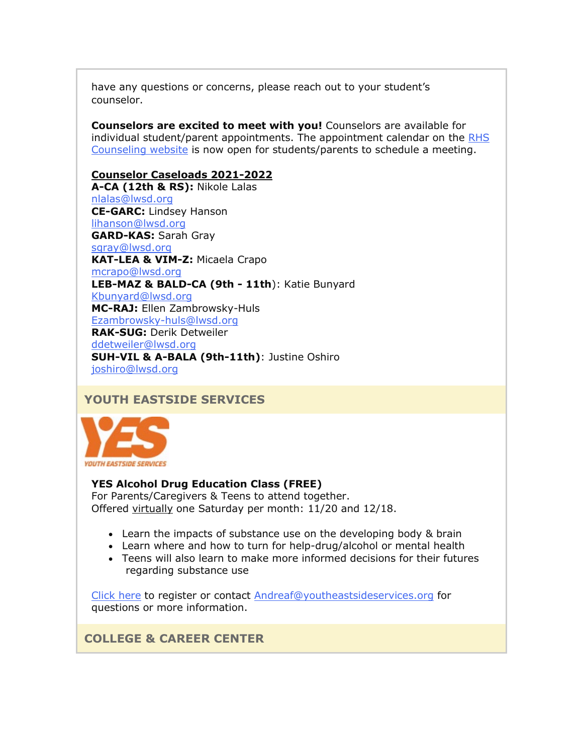have any questions or concerns, please reach out to your student's counselor.

**Counselors are excited to meet with you!** Counselors are available for individual student/parent appointments. The appointment calendar on the [RHS](https://nam02.safelinks.protection.outlook.com/?url=http%3A%2F%2Flink.email.dynect.net%2Flink.php%3FDynEngagement%3Dtrue%26H%3DfaG4YsHB1kOcXrql%252FjAZAv8UiQ%252B6%252FUEFi8b26uvkPKGDNP9eP128sv04e4byGRIA0dWEU5Wk0ib3Da8yryH%252F0HcS1T8UOXhOK%252BzH1sTePnj7PAm7K9xqtA%253D%253D%26G%3D0%26R%3Dhttps%253A%252F%252FHBSYGYZTANA.hatchbuck.com%252FTrackLinkClick%253FID2%253DYcR6vSD4CTJqfwRCkuIesbmWLo9hcFHH9wSuuZ9zEYJSKwtOI06WOnVjdrjwgBNc0%26I%3D20211119233501.0000000ea5c8%2540mail6-50-ussnn1%26X%3DMHwxMjY0OTIyOjIzNDM3MDk0NDY7MXwxMjY0OTIzOjE4NzUxNDM5OTs%253D%26V%3D3%26S%3DnfXCmBsBib7zBOrAHDb8F5TWwpwucQiAjQFaROzZVZI&data=04%7C01%7Cmwood%40lwsd.org%7C458e30b5f95c47f0c6a008d9abb53747%7C1fd4673fdf9646218638a1d88c4c85d7%7C0%7C0%7C637729617078826079%7CUnknown%7CTWFpbGZsb3d8eyJWIjoiMC4wLjAwMDAiLCJQIjoiV2luMzIiLCJBTiI6Ik1haWwiLCJXVCI6Mn0%3D%7C3000&sdata=4dFndz2BZx%2B4sQ%2FnXUb7ojiOS8ysrDgaI7ZigoRFnhE%3D&reserved=0)  [Counseling website](https://nam02.safelinks.protection.outlook.com/?url=http%3A%2F%2Flink.email.dynect.net%2Flink.php%3FDynEngagement%3Dtrue%26H%3DfaG4YsHB1kOcXrql%252FjAZAv8UiQ%252B6%252FUEFi8b26uvkPKGDNP9eP128sv04e4byGRIA0dWEU5Wk0ib3Da8yryH%252F0HcS1T8UOXhOK%252BzH1sTePnj7PAm7K9xqtA%253D%253D%26G%3D0%26R%3Dhttps%253A%252F%252FHBSYGYZTANA.hatchbuck.com%252FTrackLinkClick%253FID2%253DYcR6vSD4CTJqfwRCkuIesbmWLo9hcFHH9wSuuZ9zEYJSKwtOI06WOnVjdrjwgBNc0%26I%3D20211119233501.0000000ea5c8%2540mail6-50-ussnn1%26X%3DMHwxMjY0OTIyOjIzNDM3MDk0NDY7MXwxMjY0OTIzOjE4NzUxNDM5OTs%253D%26V%3D3%26S%3DnfXCmBsBib7zBOrAHDb8F5TWwpwucQiAjQFaROzZVZI&data=04%7C01%7Cmwood%40lwsd.org%7C458e30b5f95c47f0c6a008d9abb53747%7C1fd4673fdf9646218638a1d88c4c85d7%7C0%7C0%7C637729617078826079%7CUnknown%7CTWFpbGZsb3d8eyJWIjoiMC4wLjAwMDAiLCJQIjoiV2luMzIiLCJBTiI6Ik1haWwiLCJXVCI6Mn0%3D%7C3000&sdata=4dFndz2BZx%2B4sQ%2FnXUb7ojiOS8ysrDgaI7ZigoRFnhE%3D&reserved=0) is now open for students/parents to schedule a meeting.

#### **Counselor Caseloads 2021-2022**

**A-CA (12th & RS):** Nikole Lalas [nlalas@lwsd.org](mailto:nlalas@lwsd.org) **CE-GARC:** Lindsey Hanson [lihanson@lwsd.org](mailto:lihanson@lwsd.org) **GARD-KAS:** Sarah Gray [sgray@lwsd.org](mailto:sgray@lwsd.org) **KAT-LEA & VIM-Z:** Micaela Crapo [mcrapo@lwsd.org](mailto:mcrapo@lwsd.org) **LEB-MAZ & BALD-CA (9th - 11th**): Katie Bunyard [Kbunyard@lwsd.org](mailto:Kbunyard@lwsd.org) **MC-RAJ:** Ellen Zambrowsky-Huls [Ezambrowsky-huls@lwsd.org](mailto:Ezambrowsky-huls@lwsd.org) **RAK-SUG:** Derik Detweiler [ddetweiler@lwsd.org](mailto:ddetweiler@lwsd.org) **SUH-VIL & A-BALA (9th-11th)**: Justine Oshiro [joshiro@lwsd.org](mailto:joshiro@lwsd.org)

# **YOUTH EASTSIDE SERVICES**



# **YES Alcohol Drug Education Class (FREE)**

For Parents/Caregivers & Teens to attend together. Offered virtually one Saturday per month: 11/20 and 12/18.

- Learn the impacts of substance use on the developing body & brain
- Learn where and how to turn for help-drug/alcohol or mental health
- Teens will also learn to make more informed decisions for their futures regarding substance use

[Click here](https://nam02.safelinks.protection.outlook.com/?url=http%3A%2F%2Flink.email.dynect.net%2Flink.php%3FDynEngagement%3Dtrue%26H%3DfaG4YsHB1kOcXrql%252FjAZAv8UiQ%252B6%252FUEFi8b26uvkPKGDNP9eP128sv04e4byGRIA0dWEU5Wk0ib3Da8yryH%252F0HcS1T8UOXhOK%252BzH1sTePnj7PAm7K9xqtA%253D%253D%26G%3D0%26R%3Dhttps%253A%252F%252FHBSYGYZTANA.hatchbuck.com%252FTrackLinkClick%253FID2%253Dd30Hx-3JIy7bk_G8zYZz8yq4UEXe4rEzSSTeqTWfqhc7CL2kUaWyEvP2I4UFmrD10%26I%3D20211119233501.0000000ea5c8%2540mail6-50-ussnn1%26X%3DMHwxMjY0OTIyOjIzNDM3MDk0NDY7MXwxMjY0OTIzOjE4NzUxNDM5OTs%253D%26V%3D3%26S%3D7ZQeUBdI6SlH-LkzA_2fQrwpquW91qgcax8ova1dC9A&data=04%7C01%7Cmwood%40lwsd.org%7C458e30b5f95c47f0c6a008d9abb53747%7C1fd4673fdf9646218638a1d88c4c85d7%7C0%7C0%7C637729617078836078%7CUnknown%7CTWFpbGZsb3d8eyJWIjoiMC4wLjAwMDAiLCJQIjoiV2luMzIiLCJBTiI6Ik1haWwiLCJXVCI6Mn0%3D%7C3000&sdata=%2BaGDyFkPtCgLObMTnwSOruppT14rTBtrdqCw03LrG3E%3D&reserved=0) to register or contact [Andreaf@youtheastsideservices.org](mailto:Andreaf@youtheastsideservices.org) for questions or more information.

**COLLEGE & CAREER CENTER**